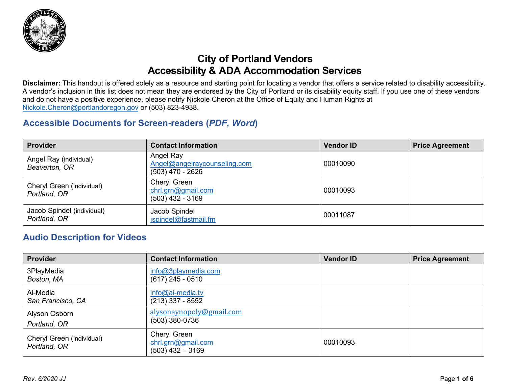

### **City of Portland Vendors Accessibility & ADA Accommodation Services**

**Disclaimer:** This handout is offered solely as a resource and starting point for locating a vendor that offers a service related to disability accessibility. A vendor's inclusion in this list does not mean they are endorsed by the City of Portland or its disability equity staff. If you use one of these vendors and do not have a positive experience, please notify Nickole Cheron at the Office of Equity and Human Rights at [Nickole.Cheron@portlandoregon.gov](mailto:Nickole.Cheron@portlandoregon.gov) or (503) 823-4938.

#### **Accessible Documents for Screen-readers (***PDF, Word***)**

| <b>Provider</b>                            | <b>Contact Information</b>                                    | <b>Vendor ID</b> | <b>Price Agreement</b> |
|--------------------------------------------|---------------------------------------------------------------|------------------|------------------------|
| Angel Ray (individual)<br>Beaverton, OR    | Angel Ray<br>Angel@angelraycounseling.com<br>(503) 470 - 2626 | 00010090         |                        |
| Cheryl Green (individual)<br>Portland, OR  | Cheryl Green<br>chrl.grn@gmail.com<br>$(503)$ 432 - 3169      | 00010093         |                        |
| Jacob Spindel (individual)<br>Portland, OR | Jacob Spindel<br>jspindel@fastmail.fm                         | 00011087         |                        |

#### **Audio Description for Videos**

| <b>Provider</b>                           | <b>Contact Information</b>                               | <b>Vendor ID</b> | <b>Price Agreement</b> |
|-------------------------------------------|----------------------------------------------------------|------------------|------------------------|
| 3PlayMedia<br>Boston, MA                  | info@3playmedia.com<br>$(617)$ 245 - 0510                |                  |                        |
| Ai-Media<br>San Francisco, CA             | $info@ai$ -media.tv<br>(213) 337 - 8552                  |                  |                        |
| Alyson Osborn<br>Portland, OR             | alysonaynopoly@gmail.com<br>$(503)$ 380-0736             |                  |                        |
| Cheryl Green (individual)<br>Portland, OR | Cheryl Green<br>chrl.grn@gmail.com<br>$(503)$ 432 - 3169 | 00010093         |                        |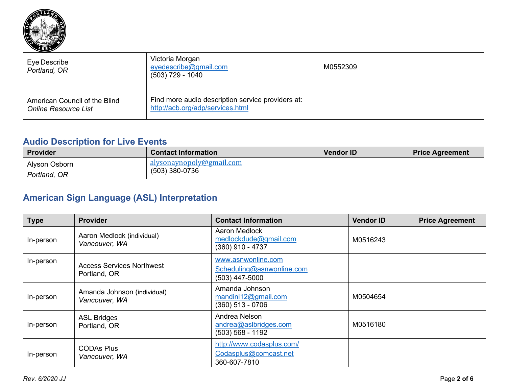

| Eye Describe<br>Portland, OR                                 | Victoria Morgan<br>eyedescribe@gmail.com<br>(503) 729 - 1040                          | M0552309 |  |
|--------------------------------------------------------------|---------------------------------------------------------------------------------------|----------|--|
| American Council of the Blind<br><b>Online Resource List</b> | Find more audio description service providers at:<br>http://acb.org/adp/services.html |          |  |

### **Audio Description for Live Events**

| Provider      | <b>Contact Information</b> | <b>Vendor ID</b> | <b>Price Agreement</b> |
|---------------|----------------------------|------------------|------------------------|
| Alyson Osborn | alysonaynopoly@gmail.com   |                  |                        |
| Portland, OR  | $(503)$ 380-0736           |                  |                        |

# **American Sign Language (ASL) Interpretation**

| <b>Type</b> | <b>Provider</b>                                  | <b>Contact Information</b>                                         | <b>Vendor ID</b> | <b>Price Agreement</b> |
|-------------|--------------------------------------------------|--------------------------------------------------------------------|------------------|------------------------|
| In-person   | Aaron Medlock (individual)<br>Vancouver, WA      | Aaron Medlock<br>medlockdude@gmail.com<br>(360) 910 - 4737         | M0516243         |                        |
| In-person   | <b>Access Services Northwest</b><br>Portland, OR | www.asnwonline.com<br>Scheduling@asnwonline.com<br>(503) 447-5000  |                  |                        |
| In-person   | Amanda Johnson (individual)<br>Vancouver, WA     | Amanda Johnson<br>$m$ andini12@gmail.com<br>(360) 513 - 0706       | M0504654         |                        |
| In-person   | <b>ASL Bridges</b><br>Portland, OR               | Andrea Nelson<br>andrea@aslbridges.com<br>$(503) 568 - 1192$       | M0516180         |                        |
| In-person   | <b>CODAs Plus</b><br>Vancouver, WA               | http://www.codasplus.com/<br>Codasplus@comcast.net<br>360-607-7810 |                  |                        |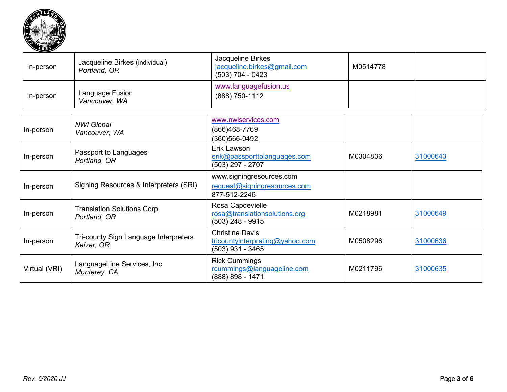

| In-person     | Jacqueline Birkes (individual)<br>Portland, OR      | Jacqueline Birkes<br>jacqueline.birkes@gmail.com<br>$(503)$ 704 - 0423          | M0514778 |          |
|---------------|-----------------------------------------------------|---------------------------------------------------------------------------------|----------|----------|
| In-person     | Language Fusion<br>Vancouver, WA                    | www.languagefusion.us<br>(888) 750-1112                                         |          |          |
| In-person     | <b>NWI Global</b><br>Vancouver, WA                  | www.nwiservices.com<br>(866)468-7769<br>(360) 566-0492                          |          |          |
| In-person     | Passport to Languages<br>Portland, OR               | Erik Lawson<br>erik@passporttolanguages.com<br>$(503)$ 297 - 2707               | M0304836 | 31000643 |
| In-person     | Signing Resources & Interpreters (SRI)              | www.signingresources.com<br>request@signingresources.com<br>877-512-2246        |          |          |
| In-person     | <b>Translation Solutions Corp.</b><br>Portland, OR  | Rosa Capdevielle<br>rosa@translationsolutions.org<br>$(503)$ 248 - 9915         | M0218981 | 31000649 |
| In-person     | Tri-county Sign Language Interpreters<br>Keizer, OR | <b>Christine Davis</b><br>tricountyinterpreting@yahoo.com<br>$(503)$ 931 - 3465 | M0508296 | 31000636 |
| Virtual (VRI) | LanguageLine Services, Inc.<br>Monterey, CA         | <b>Rick Cummings</b><br>rcummings@languageline.com<br>(888) 898 - 1471          | M0211796 | 31000635 |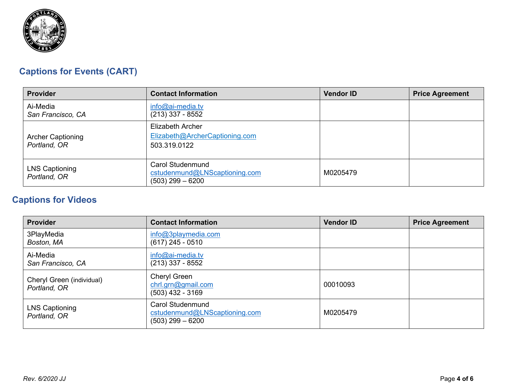

# **Captions for Events (CART)**

| <b>Provider</b>                          | <b>Contact Information</b>                                                     | <b>Vendor ID</b> | <b>Price Agreement</b> |
|------------------------------------------|--------------------------------------------------------------------------------|------------------|------------------------|
| Ai-Media<br>San Francisco, CA            | $info@ai-media.tv$<br>$(213)$ 337 - 8552                                       |                  |                        |
| <b>Archer Captioning</b><br>Portland, OR | Elizabeth Archer<br>Elizabeth@ArcherCaptioning.com<br>503.319.0122             |                  |                        |
| <b>LNS Captioning</b><br>Portland, OR    | <b>Carol Studenmund</b><br>cstudenmund@LNScaptioning.com<br>$(503)$ 299 - 6200 | M0205479         |                        |

# **Captions for Videos**

| <b>Provider</b>                           | <b>Contact Information</b>                                                     | <b>Vendor ID</b> | <b>Price Agreement</b> |
|-------------------------------------------|--------------------------------------------------------------------------------|------------------|------------------------|
| 3PlayMedia<br>Boston, MA                  | info@3playmedia.com<br>$(617)$ 245 - 0510                                      |                  |                        |
| Ai-Media<br>San Francisco, CA             | $info@ai$ -media.tv<br>$(213)$ 337 - 8552                                      |                  |                        |
| Cheryl Green (individual)<br>Portland, OR | <b>Cheryl Green</b><br>chrl.grn@gmail.com<br>$(503)$ 432 - 3169                | 00010093         |                        |
| <b>LNS Captioning</b><br>Portland, OR     | <b>Carol Studenmund</b><br>cstudenmund@LNScaptioning.com<br>$(503)$ 299 - 6200 | M0205479         |                        |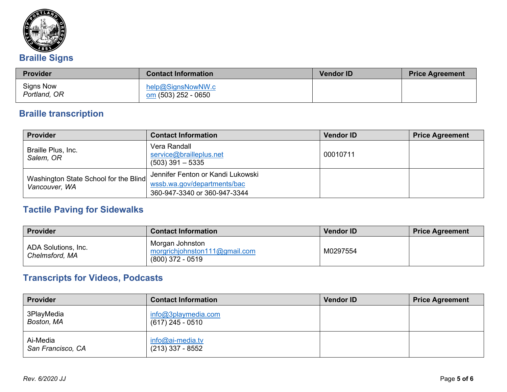

| <b>Provider</b>           | <b>Contact Information</b>               | <b>Vendor ID</b> | <b>Price Agreement</b> |
|---------------------------|------------------------------------------|------------------|------------------------|
| Signs Now<br>Portland, OR | help@SignsNowNW.c<br>om (503) 252 - 0650 |                  |                        |

# **Braille transcription**

| Provider                                               | <b>Contact Information</b>                                                                       | <b>Vendor ID</b> | <b>Price Agreement</b> |
|--------------------------------------------------------|--------------------------------------------------------------------------------------------------|------------------|------------------------|
| Braille Plus, Inc.<br>Salem, OR                        | Vera Randall<br>service@brailleplus.net<br>$(503)$ 391 $-$ 5335                                  | 00010711         |                        |
| Washington State School for the Blind<br>Vancouver, WA | Jennifer Fenton or Kandi Lukowski<br>wssb.wa.gov/departments/bac<br>360-947-3340 or 360-947-3344 |                  |                        |

### **Tactile Paving for Sidewalks**

| Provider                              | <b>Contact Information</b>                                             | <b>Vendor ID</b> | <b>Price Agreement</b> |
|---------------------------------------|------------------------------------------------------------------------|------------------|------------------------|
| ADA Solutions, Inc.<br>Chelmsford, MA | Morgan Johnston<br>morgrichjohnston111@gmail.com<br>$(800)$ 372 - 0519 | M0297554         |                        |

# **Transcripts for Videos, Podcasts**

| Provider                      | <b>Contact Information</b>                   | <b>Vendor ID</b> | <b>Price Agreement</b> |
|-------------------------------|----------------------------------------------|------------------|------------------------|
| 3PlayMedia<br>Boston, MA      | $info@3$ playmedia.com<br>$(617)$ 245 - 0510 |                  |                        |
| Ai-Media<br>San Francisco, CA | $info@ai$ -media.tv<br>$(213)$ 337 - 8552    |                  |                        |